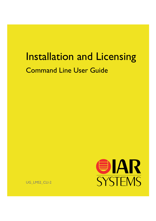# Installation and Licensing Command Line User Guide



UG\_LMS2\_CLI-2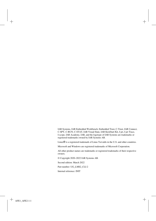IAR Systems, IAR Embedded Workbench, Embedded Trust, C-Trust, IAR Connect, C-SPY, C-RUN, C-STAT, IAR Visual State, IAR KickStart Kit, I-jet, I-jet Trace, I-scope, IAR Academy, IAR, and the logotype of IAR Systems are trademarks or registered trademarks owned by IAR Systems AB.

Linux® is a registered trademark of Linus Torvalds in the U.S. and other countries.

Microsoft and Windows are registered trademarks of Microsoft Corporation.

All other product names are trademarks or registered trademarks of their respective owners.

© Copyright 2020–2022 IAR Systems AB.

Second edition: March 2022

Part number: UG\_LMS2\_CLI-2

Internal reference: INIT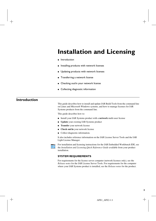# **Installation and Licensing**

- **•** [Introduction](#page-2-0)
- [Installing products with network licenses](#page-5-0)
- [Updating products with network licenses](#page-8-0)
- [Transferring a network license](#page-11-0)
- [Checking out/in your network license](#page-12-1)
- [Collecting diagnostic information](#page-12-0)

# <span id="page-2-0"></span>**Introduction**

This guide describes how to install and update IAR Build Tools from the command line on Linux and Microsoft Windows systems, and how to manage licenses for IAR Systems products from the command line.

This guide describes how to:

- Install your IAR Systems product with a **network** multi-user license
- **Update** your existing IAR Systems product
- **Transfer** your network license
- **Check out/in** your network license
- Collect diagnostic information.

It also includes reference information on the IAR License Server Tools and the IAR Light License Manager.



For installation and licensing instructions for the IAR Embedded Workbench IDE, see the *Installation and Licensing Quick Reference Guide* available from your product installation.

### **SYSTEM REQUIREMENTS**

For requirements for the license server computer (network licenses only), see the *Release notes* for the IAR License Server Tools. For requirements for the computer where your IAR Systems product is installed, see the *Release notes* for the product.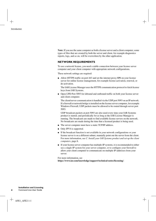**Note:** If you use the same computer as both a license server and a client computer, some types of files that are created by both the server and client, for example diagnostics reports, logs, and so on, will be overwritten by the other application.

#### **NETWORK REQUIREMENTS**

To use a network license, you need a stable connection between your license server computer and your client computer with appropriate network configurations.

These network settings are required:

● Allow HTTPS traffic on port 443 and set the internet proxy **ON** on your license server for online license management, for example license activation, renewal, or de-activation.

The IAR License Manager uses the HTTPS communication protocol to fetch license keys from IAR Systems.

• Open UPD Port 5093 for inbound and outbound traffic on both your license server and client computer.

The client/server communication is handled via the UDP port 5093 on an IP network. If a firewall or network bridge is installed on the license server computer, for example Windows Firewall, UDP packets must be allowed to be routed through server port 5093.

UDP broadcast packets at port 5093 are also used every time your IAR Systems product is started, and periodically for as long as the IAR License Manager is running. The broadcasts are made to find available license servers on the network. No broadcasts are made during the time that a licensed product is being used.

- The server computer must have a static TCP/IP address.
- Only IPV4 is supported.
- If the broadcast function is not available in your network configurations or your license server is on a different subnet, manually point out the server from the client. For more information, see *[C. Install your IAR Systems product and set up the client](#page-7-0)  [computers](#page-7-0)*, page 8.
- If your license server computer has multiple-IP systems, it is recommended to either use a single-IP system for your server computer, or to configure your firewall to allow your client computer to communicate on multiple IP addresses from your server.

For more information, see **https://www.iar.com/knowledge/support/technical-notes/licensing/**.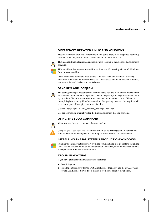# **DIFFERENCES BETWEEN LINUX AND WINDOWS**

Most of the information and instructions in this guide apply to all supported operating systems. When they differ, there is often an icon to identify the OS.



This icon identifies information and instructions specific to the supported distributions of Linux.



This icon identifies information and instructions specific to using Microsoft Windows from the command line.

In the case where command lines are the same for Linux and Windows, directory separators are written with forward slashes. To use these command lines on Windows, replace the forward slashes with backslashes.

# **DPKG|RPM AND .DEB|RPM**



The package manager executable file for Red Hat is rpm and the filename extension for its associated archive files is .rpm. For Ubuntu, the package manager executable file is dpkg and the filename extension for its associated archive files is .deb. When an example is given in this guide of an invocation of the package manager, both options will be given, separated by a pipe character, like this:

\$ sudo dpkg|rpm -i *lic\_server\_package*.deb|rpm

Use the appropriate alternatives for the Linux distribution that you are using.

# **USING THE SUDO COMMAND**



Using lightlicensemanager commands with sudo privileges will mean that you must also use sudo when you are compiling. For this reason, it is best avoided.

# **INSTALLING THE IAR SYSTEMS PRODUCT ON WINDOWS**

Running the installer autonomously from the command line, it is possible to install the IAR Systems product without human interaction. However, autonomous installation is not supported for the license server tools.

# **TROUBLESHOOTING**

If you have problems with installation or licensing:

- Read this guide.
- Read the *Release notes* for the IAR Light License Manager, and the *Release notes* for the IAR License Server Tools available from your product installation.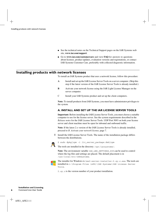- See the technical notes on the Technical Support pages on the IAR Systems web site, **www.iar.com/support**.
- Go to **www.iar.com/customercare** and view **FAQ** for answers to questions about licenses, product updates, evaluation versions and registrations, or contact IAR Systems Customer Care, preferably with collected diagnostic information.

# <span id="page-5-0"></span>**Installing products with network licenses**

To install an IAR Systems product that uses a network license, follow this procedure:

- **A** Install and set up the IAR License Server Tools on a server computer. (Skip this step if the latest version of the IAR License Server Tools is already installed.)
- **B** Activate your network license using the IAR Light License Manager on the server computer.
- C Install your IAR Systems product and set up the client computers.

**Note:** To install products from IAR Systems, you must have administrator privileges to the system.

# <span id="page-5-1"></span>**A. INSTALL AND SET UP THE IAR LICENSE SERVER TOOLS**

**Important:** Before installing the IAR License Server Tools, you must choose a suitable computer to use for the license server. See the system requirements described in the *Release notes* for the IAR License Server Tools. UDP Port 5093 on both your license server and client machine must be open for inbound and outbound traffic.

**Note:** If the latest 2.x version of the IAR License Server Tools is already installed, proceed to *[B. Activate your network license](#page-6-0)*, page 7.

**1** Install the IAR License Server Tools. The name of the installation package differs between the distributions.



\$ sudo dpkg|rpm -i *lic\_server\_package*.deb|rpm

The tools are installed in the directory /opt/iarsystems/.

**Note:** The environment variable IAR\_LMS\_SETTINGS\_DIR can be used to control where the log files and settings are placed. The default placement is in /usr/local/etc/IARSystems.



The installer for Windows is lms2-server-installer-2.*xy.z*.exe. The tools are installed in c:\Program Files (x86)\IAR Systems\IAR License Server Tools.

2.*xy.z* is the version number of your product installation.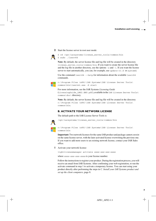

**2** Start the license server in root user mode:

```
$ cd /opt/iarsystems/license_server_tools/common/bin
$ sudo ./lserv64
```
**Note:** By default, the server license file and log file will be created in the directory license\_server\_tools/common/bin. If you want to create the server license file and the log file in another directory, use the options -s and -l. If you want the license server to start automatically, you can, for example, use update-rc.d or systemd.

Use the command  $l$  serv64 --help for information about the available  $l$  serv64 commands.



c:\Program Files (x86)\IAR Systems\IAR License Server Tools\ common\bin\lservnt.exe -X start

For more information, see the IAR Systems *Licensing Guide* (LicensingGuide\_LMS2.ENU.pdf), available in the IAR License Server Tools\ common\doc\ directory.

**Note:** By default, the server license file and log file will be created in the directory c:\Program Files (x86)\IAR Systems\IAR License Server Tools\ common\bin.

# <span id="page-6-0"></span>**B. ACTIVATE YOUR NETWORK LICENSE**

The default path to the IAR License Server Tools is:



/opt/iarsystems/license\_server\_tools/common/bin

c:\Program Files (x86)\IAR Systems\IAR License Server Tools\ common\bin

**Important:** Two network licenses for the same IAR product and package cannot coexist on the same license server, with the later activated license overwriting the previous one. If you want to add more users to an existing network license, contact your IAR Sales office.

**1** Activate your network license:

lightlicensemanager activate *xxxx-xxx-xxx-xxxx*

where *xxxx-xxx-xxx-xxxx* is your license number.

Follow the instructions to register your product. During the registration process, you will receive an email from IAR Systems. After confirming your web registration, re-run the activate command in step 1 to activate a temporary license. You can start using your product directly after performing the steps in *[C. Install your IAR Systems product and](#page-7-0)  [set up the client computers](#page-7-0)*, page 8.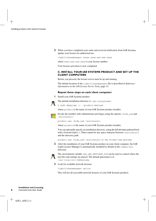**2** When you have completed your order and received notification from IAR Systems, update your license for authorized use:

lightlicensemanager renew *xxxx-xxx-xxx-xxxx*

where *xxxx-xxx-xxx-xxxx* is your license number.

Your license activation is now completed.

# <span id="page-7-0"></span>**C. INSTALL YOUR IAR SYSTEMS PRODUCT AND SET UP THE CLIENT COMPUTERS**

Before you proceed, the license server must be up and running.

The default location of the lightlicensemanager file is described in *[Reference](#page-14-0)  [information on the IAR License Server Tools](#page-14-0)*, page 15.

#### **Repeat these steps on each client computer:**

**1** Install your IAR Systems product:

The default installation directory is /opt/iarsystems/.



\$ sudo dpkg|rpm -i *./product*.deb|rpm

where *product* is the name of your IAR Systems product installer.



*product*.exe /hide\_usd /autoinstall

where *product* is the name of your IAR Systems product installer.

You can optionally specify an installation directory, using the full absolute path prefixed with a forward slash (/). There cannot be any space character between /autoinstall and the directory path:

*product*.exe /hide\_usd /autoinstall/D:\My Folder\IAR\_Systems

**2** After the installation of your IAR Systems product on your client computer, the IAR Light License Manager is automatically installed by default in the common/bin directory.



The environment variable IAR\_LMS\_SETTINGS\_DIR can be used to control where the log files and settings are placed. The default placement is in /usr/local/etc/IARSystems.

**3** Look for available network licenses:

lightlicensemanager nwlics

This will list all accessible network licenses of your IAR Systems products.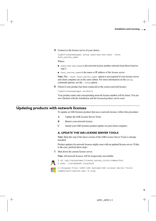**4** Connect to the license server of your choice:

lightlicensemanager setup *xxxx-xxx-xxx-xxxx* --host *host\_server\_name*

Where:

- *xxxx-xxx-xxx-xxxx* is the network license number selected from those listed in step 2.
- *host\_server\_name* is the name or IP address of the license server.

**Note:** The --host *host server* name option is not required if your license server and client computer are in the same subnet. For more information on the setup command options, use the --help option.

**5** Check if your product has been connected to the correct network license:

lightlicensemanager products

Your product name and corresponding network license number will be listed. You are now finished with the installation and the licensed product can be used.

# <span id="page-8-0"></span>**Updating products with network licenses**

To update an IAR Systems product that uses a network license, follow this procedure:

- **A** Update the IAR License Server Tools.
- **B** Renew your network license.
- **C** Install your IAR Systems product update on each client computer.

#### **A. UPDATE THE IAR LICENSE SERVER TOOLS**

**Note:** Skip this step if the latest version of the IAR License Server Tools is already installed.

Product updates for network licenses might come with an updated license server. If that is the case, perform these steps:

**1** Shut down the current license server.

**Note:** All network licenses will be temporarily unavailable.



\$ cd /opt/iarsystems/license\_server\_tools/common/bin \$ sudo ./lsrvdown64 localhost

c:\Program Files (x86)\IAR Systems\IAR License Server Tools\ common\bin\lservnt.exe -X stop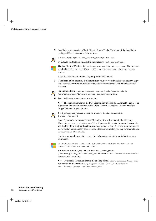**2** Install the newer version of IAR License Server Tools. The name of the installation package differs between the distributions.



\$ sudo dpkg|rpm -i *lic\_server\_package*.deb|rpm



By default, the tools are installed in the directory /opt/iarsystems/.

The installer for Windows is lms2-server-installer-2.*xy.z*.exe. The tools are installed in c:\Program Files (x86)\IAR Systems\IAR License Server Tools.

2.*xy.z* is the version number of your product installation.

**3** If the installation directory is different from your previous installation directory, copy the lservrc file from your previous installation directory to your new installation directory.



For example from .../iar\_license\_server\_tools/common/bin to /opt/iarsystems/license\_server\_tools/common/bin.

**4** Start the license server in root user mode.

**Note:** The version number of the IAR License Server Tools (2.*xx*) must be equal to or higher than the version number of the Light License Manager or License Manager (2.*yy*) included in your product.



\$ cd /opt/iarsystems/license\_server\_tools/common/bin \$ sudo ./lserv64

**Note:** By default, the server license file and log file will remain in the directory license\_server\_tools/common/bin. If you want to create the server license file and the log file in another directory, use the options  $-s$  and  $-1$ . If you want the license server to start automatically after rebooting the host computer, you can, for example, use update-rc.d or systemd.

Use the command  $l$  serv64 --help for information about the available  $l$  serv64 commands.



c:\Program Files (x86)\IAR Systems\IAR License Server Tools\ common\bin\lservnt.exe -X start

For more information, see the IAR Systems *Licensing Guide* (LicensingGuide\_LMS2.ENU.pdf), available in the IAR License Server Tools\ common\doc\ directory.

**Note:** By default, the server license file and log file (LicenseManagementLog.txt) will remain in the directory  $c:\Per\gamma$  Files  $(x86)\$ IAR Systems\ IAR License Server Tools\common\bin.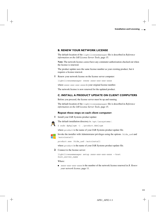# <span id="page-10-0"></span>**B. RENEW YOUR NETWORK LICENSE**

The default location of the lightlicensemanager file is described in *[Reference](#page-14-0)  [information on the IAR License Server Tools](#page-14-0)*, page 15.

**Note:** The network license *cannot* have any commuter authorization checked out when the license is renewed.

The product update uses the same license number as your existing product, but it requires a license renewal.

**1** Renew your network license on the license server computer:

lightlicensemanager renew *xxxx-xxx-xxx-xxxx*

where *xxxx-xxx-xxx-xxxx* is your original license number.

The network license is now renewed for the updated product.

# **C. INSTALL A PRODUCT UPDATE ON CLIENT COMPUTERS**

Before you proceed, the license server must be up and running.

The default location of the lightlicensemanager file is described in *[Reference](#page-14-0)  [information on the IAR License Server Tools](#page-14-0)*, page 15.

#### **Repeat these steps on each client computer:**

**1** Install your IAR Systems product update:



The default installation directory is /opt/iarsystems/.

\$ sudo dpkg|rpm -i *./product*.deb|rpm

where *product* is the name of your IAR Systems product update file.



Invoke the installer with Administrator privileges using the options /hide\_usd and /autoinstall:

*product*.exe /hide\_usd /autoinstall

where *product* is the name of your IAR Systems product update file.

**2** Connect to the license server:

```
lightlicensemanager setup xxxx-xxx-xxx-xxxx --host 
host_server_name
```
Where:

● *xxxx-xxx-xxx-xxxx* is the number of the network license renewed in *[B. Renew](#page-10-0)  [your network license](#page-10-0)*, page 11.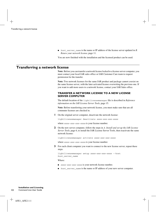● *host\_server\_name* is the name or IP address of the license server updated in *[B.](#page-10-0)  [Renew your network license](#page-10-0)*, page 11.

You are now finished with the installation and the licensed product can be used.

# <span id="page-11-0"></span>**Transferring a network license**

**Note:** Before you can transfer a network license locked to a license server computer, you must contact your local IAR sales office or IAR Customer Care team to request permission for the transfer.

**Note:** Two network licenses for the same IAR product and package cannot coexist on the same license server, with the later activated license overwriting the previous one. If you want to add more users to a network license, contact your IAR Sales office.

# **TRANSFER A NETWORK LICENSE TO A NEW LICENSE SERVER COMPUTER**

The default location of the lightlicensemanager file is described in *[Reference](#page-14-0)  [information on the IAR License Server Tools](#page-14-0)*, page 15.

**Note:** Before transferring your network license, you must make sure that are all commuter licenses are checked in.

**1** On the original server computer, deactivate the network license:

lightlicensemanager deactivate *xxxx-xxx-xxx-xxxx*

where *xxxx-xxx-xxx-xxxx* is your license number.

**2** On the new server computer, follow the steps in *[A. Install and set up the IAR License](#page-5-1)  [Server Tools](#page-5-1)*, page 6, to install the IAR License Server Tools, then reactivate the same network license:

lightlicensemanager activate *xxxx-xxx-xxx-xxxx*

where *xxxx-xxx-xxx-xxxx* is your license number.

**3** For each client computer you want to connect to the new license server, repeat these steps:

```
lightlicensemanager setup xxxx-xxx-xxx-xxxx --host 
host_server_name
```
Where:

- *xxxx-xxx-xxx-xxxx* is your network license number.
- *host\_server\_name* is the name or IP address of your new server computer.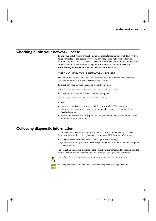# <span id="page-12-1"></span>**Checking out/in your network license**

To use your IAR Systems product on a client computer for a number of days, without being connected to the license server, you can check out a network license with commuter authorization. You can also check in or terminate the commuter authorization for your network license before it expires. **If not checked in, the license will automatically be returned after the specified number of days.**

# **CHECK OUT/IN YOUR NETWORK LICENSE**

The default location of the lightlicensemanager file is described in *[Reference](#page-14-0)  [information on the IAR License Server Tools](#page-14-0)*, page 15.

To check out your network license on a client computer:

lightlicensemanager checkout *product\_tag* -y *days*

To check in your network license on a client computer:

lightlicensemanager checkin *product\_tag*

Where:

- *product\_tag* is the tag for your IAR Systems product. You can use the lightlicensemanager products command to list the product tags (in the **Product** column).
- *days* is the number of days (up to 15 days) you want to check out a product with commuter authorization for.

# <span id="page-12-0"></span>**Collecting diagnostic information**

If you need assistance in managing IAR licenses, it is recommended you collect diagnostic information before you contact your local IAR Customer Care team.

**Note:** Make sure you run the correct IAR Light License Manager (lightlicensemanager) from the corresponding directory, that is, a client computer or a license server.

For collecting diagnostic information for both client computers and license servers, the default location for the diagnostic results of the get\_diagnostic command is:



/usr/local/etc/IARSystems/LicenseManagement/Diagnostics.

c:\ProgramData\IARSystems\LicenseManagement\Diagnostics\.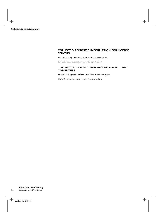## **COLLECT DIAGNOSTIC INFORMATION FOR LICENSE SERVERS**

To collect diagnostic information for a license server:

lightlicensemanager get\_diagnostics

# **COLLECT DIAGNOSTIC INFORMATION FOR CLIENT COMPUTERS**

To collect diagnostic information for a client computer:

lightlicensemanager get\_diagnostics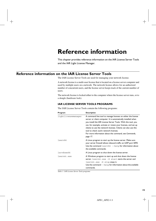# **Reference information**

This chapter provides reference information on the IAR License Server Tools and the IAR Light License Manager.

# <span id="page-14-0"></span>**Reference information on the IAR License Server Tools**

The IAR License Server Tools are used for managing your network license.

A network license is a multi-user license that is located on a license server computer and used by multiple users on a network. The network license allows for an authorized number of concurrent users, and the license server keeps track of the current number of users.

The network license is locked either to the computer where the license server runs, or to a dongle (hardware lock).

# **IAR LICENSE SERVER TOOLS PROGRAMS**

The IAR License Server Tools contain the following programs:

| Program             | <b>Description</b>                                                                                                                                                                                                                                                                                                                                                                                                                               |
|---------------------|--------------------------------------------------------------------------------------------------------------------------------------------------------------------------------------------------------------------------------------------------------------------------------------------------------------------------------------------------------------------------------------------------------------------------------------------------|
| lightlicensemanager | A command line tool to manage licenses on either the license<br>server or client computer. It is automatically installed when<br>you install the IAR License Server Tools. With this tool, you<br>can, for example, activate or renew your licenses, and set up<br>clients to use the network licenses. Clients can also use this<br>tool to check out/in network licenses.<br>For more information about the command, see Commands,<br>page 17. |
| l <sub>serv64</sub> | A Linux program to start up the license server. Make sure<br>your server firewall allows inbound traffic on UDP port 5093.<br>Use the command $1$ serv $64$ --help for information about<br>the available commands.                                                                                                                                                                                                                              |
| 1srydown64          | A Linux program to shut down the license server.                                                                                                                                                                                                                                                                                                                                                                                                 |
| lservnt.exe         | A Windows program to start up and shut down the license<br>server. lservnt.exe -X start starts the server and<br>lservnt.exe -X stop stops it.<br>Use the command $-\text{help}$ for information about the available                                                                                                                                                                                                                             |
|                     | commands.                                                                                                                                                                                                                                                                                                                                                                                                                                        |

*Table 1: IAR License Server Tools programs*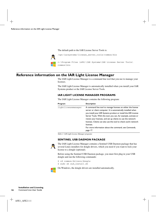The default path to the IAR License Server Tools is:



# **Reference information on the IAR Light License Manager**

The IAR Light License Manager is a command line tool that you use to manage your licenses.

The IAR Light License Manager is automatically installed when you install your IAR Systems product or the IAR License Server Tools.

# **IAR LIGHT LICENSE MANAGER PROGRAMS**

The IAR Light License Manager contains the following program:

| Program             | <b>Description</b>                                               |
|---------------------|------------------------------------------------------------------|
| lightlicensemanager | A command line tool to manage licenses on either the license     |
|                     | server or client computer. It is automatically installed when    |
|                     | you install your IAR Systems product or install the IAR License  |
|                     | Server Tools. With this tool, you can, for example, activate or  |
|                     | renew your licenses, and set up clients to use the network       |
|                     | licenses. Clients can also use this tool to check out/in network |
|                     | licenses.                                                        |
|                     | For more information about the command, see Commands,            |
|                     | page 17.                                                         |

*Table 2: IAR Light License Manager programs*

### **SENTINEL USB DAEMON PACKAGE**



The IAR Light License Manager contains a Sentinel USB Daemon package that has several Linux installers for dongle drivers, which you need if you want to lock your license to a dongle (optional).

Before using the Sentinel USB Daemon package, you must first plug in your USB dongle and run the following commands:

\$ cd common/drivers/dongle \$ sudo sh sud\_install.sh

On Windows, the dongle drivers are installed automatically.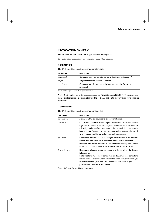### **INVOCATION SYNTAX**

The invocation syntax for IAR Light License Manager is:

```
lightlicensemanager [command][args][options]
```
#### **Parameters**

The IAR Light License Manager parameters are:

| <b>Parameter</b> | <b>Description</b>                                                      |
|------------------|-------------------------------------------------------------------------|
| command          | Command that you want to perform. See Commands, page 17.                |
| args             | Arguments for the specific command.                                     |
| options          | Command specific options and global options valid for every<br>command. |

*Table 3: IAR Light License Manager parameters*

**Note:** You can use lightlicensemanager without parameters to view the program sign-on information. You can also use the --help option to display help for a specific command.

#### <span id="page-16-0"></span>**Commands**

The IAR Light License Manager commands are:

| Command    | <b>Description</b>                                                                                                                                                                                                                                                                                                                                    |
|------------|-------------------------------------------------------------------------------------------------------------------------------------------------------------------------------------------------------------------------------------------------------------------------------------------------------------------------------------------------------|
| activate   | Activates a PC-locked, mobile, or network license.                                                                                                                                                                                                                                                                                                    |
| checkout   | Checks out a network license to your local computer for a number of<br>days. This is useful if, for example, you are absent from your office for<br>a few days and therefore cannot reach the network that contains the<br>license server. You can also use this command to increase the speed<br>when you are working on a slow network connections. |
| checkin    | Checks in a network license. When you have checked out a network<br>license with the checkout command and you want to enable<br>someone else on the network to use it before it has expired, use the<br>checkin command to return the license to the license server.                                                                                  |
| deactivate | Deactivates a license from a computer or a dongle which the license<br>is locked to.<br>Note that for a PC-locked license, you can deactivate the license for a<br>limited number of times within 12 months. For a network license, you<br>must first contact your local IAR Customer Care team to get<br>permission to deactivate your license.      |

*Table 4: IAR Light License Manager commands*